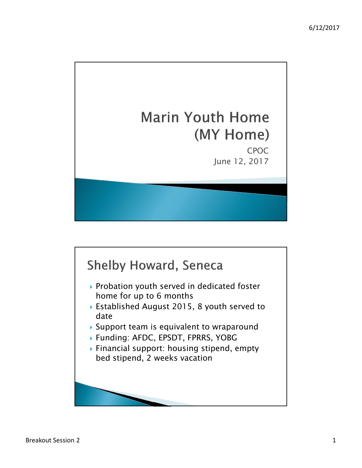

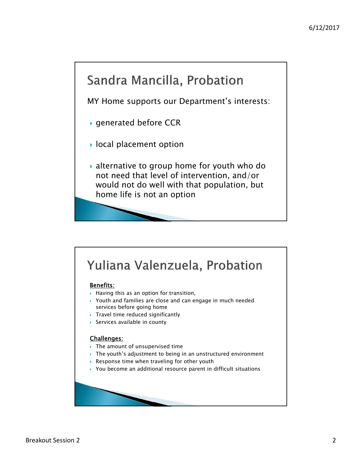# Sandra Mancilla, Probation

MY Home supports our Department's interests:

- ▶ generated before CCR
- $\blacktriangleright$  local placement option
- alternative to group home for youth who do not need that level of intervention, and/or would not do well with that population, but home life is not an option

### Yuliana Valenzuela, Probation

#### Benefits:

- $\rightarrow$  Having this as an option for transition,
- Youth and families are close and can engage in much needed services before going home
- $\triangleright$  Travel time reduced significantly
- Services available in county

#### Challenges:

- $\triangleright$  The amount of unsupervised time
- $\rightarrow$  The youth's adjustment to being in an unstructured environment
- ▶ Response time when traveling for other youth
- ▶ You become an additional resource parent in difficult situations